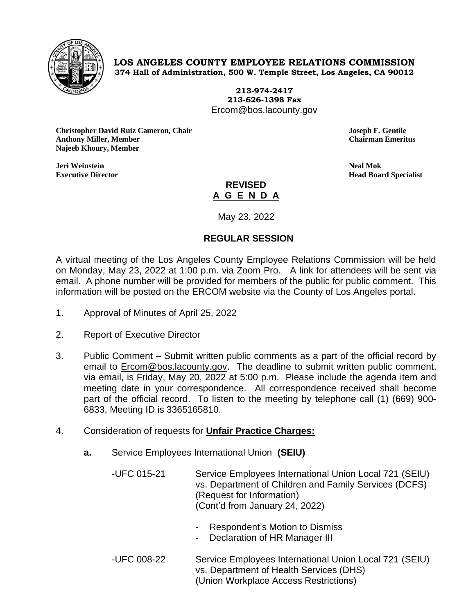

## **LOS ANGELES COUNTY EMPLOYEE RELATIONS COMMISSION 374 Hall of Administration, 500 W. Temple Street, Los Angeles, CA 90012**

**213-974-2417 213-626-1398 Fax** Ercom@bos.lacounty.gov

**Christopher David Ruiz Cameron, Chair Joseph F. Gentile Anthony Miller, Member Chairman Emeritus Najeeb Khoury, Member**

**Jeri Weinstein Neal Mok Executive Director Head Board Specialist**

## **REVISED A G E N D A**

May 23, 2022

## **REGULAR SESSION**

A virtual meeting of the Los Angeles County Employee Relations Commission will be held on Monday, May 23, 2022 at 1:00 p.m. via **Zoom Pro.** A link for attendees will be sent via email. A phone number will be provided for members of the public for public comment. This information will be posted on the ERCOM website via the County of Los Angeles portal.

- 1. Approval of Minutes of April 25, 2022
- 2. Report of Executive Director
- 3. Public Comment Submit written public comments as a part of the official record by email to [Ercom@bos.lacounty.gov.](mailto:Ercom@bos.lacounty.gov) The deadline to submit written public comment, via email, is Friday, May 20, 2022 at 5:00 p.m. Please include the agenda item and meeting date in your correspondence. All correspondence received shall become part of the official record. To listen to the meeting by telephone call (1) (669) 900- 6833, Meeting ID is 3365165810.
- 4. Consideration of requests for **Unfair Practice Charges:**
	- **a.** Service Employees International Union **(SEIU)**
		- -UFC 015-21 Service Employees International Union Local 721 (SEIU) vs. Department of Children and Family Services (DCFS) (Request for Information) (Cont'd from January 24, 2022)
			- Respondent's Motion to Dismiss
			- Declaration of HR Manager III
		- -UFC 008-22 Service Employees International Union Local 721 (SEIU) vs. Department of Health Services (DHS) (Union Workplace Access Restrictions)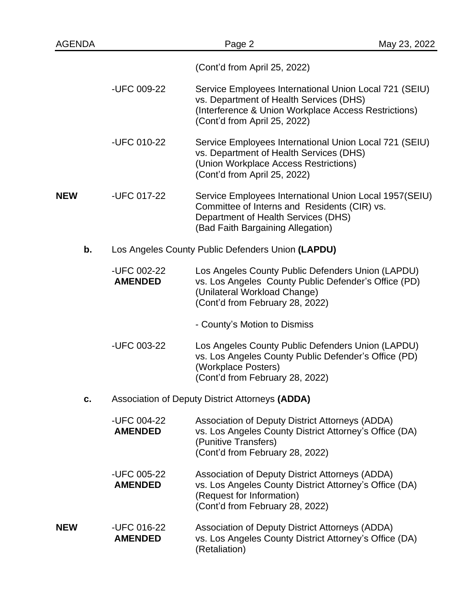| <b>AGENDA</b> |                                                   | Page 2                                                                                                                                                                                    | May 23, 2022 |
|---------------|---------------------------------------------------|-------------------------------------------------------------------------------------------------------------------------------------------------------------------------------------------|--------------|
|               | (Cont'd from April 25, 2022)                      |                                                                                                                                                                                           |              |
|               | -UFC 009-22                                       | Service Employees International Union Local 721 (SEIU)<br>vs. Department of Health Services (DHS)<br>(Interference & Union Workplace Access Restrictions)<br>(Cont'd from April 25, 2022) |              |
|               | -UFC 010-22                                       | Service Employees International Union Local 721 (SEIU)<br>vs. Department of Health Services (DHS)<br>(Union Workplace Access Restrictions)<br>(Cont'd from April 25, 2022)                |              |
| <b>NEW</b>    | -UFC 017-22                                       | Service Employees International Union Local 1957(SEIU)<br>Committee of Interns and Residents (CIR) vs.<br>Department of Health Services (DHS)<br>(Bad Faith Bargaining Allegation)        |              |
| b.            | Los Angeles County Public Defenders Union (LAPDU) |                                                                                                                                                                                           |              |
|               | -UFC 002-22<br><b>AMENDED</b>                     | Los Angeles County Public Defenders Union (LAPDU)<br>vs. Los Angeles County Public Defender's Office (PD)<br>(Unilateral Workload Change)<br>(Cont'd from February 28, 2022)              |              |
|               |                                                   | - County's Motion to Dismiss                                                                                                                                                              |              |
|               | -UFC 003-22                                       | Los Angeles County Public Defenders Union (LAPDU)<br>vs. Los Angeles County Public Defender's Office (PD)<br>(Workplace Posters)<br>(Cont'd from February 28, 2022)                       |              |
| c.            | Association of Deputy District Attorneys (ADDA)   |                                                                                                                                                                                           |              |
|               | -UFC 004-22<br><b>AMENDED</b>                     | Association of Deputy District Attorneys (ADDA)<br>vs. Los Angeles County District Attorney's Office (DA)<br>(Punitive Transfers)<br>(Cont'd from February 28, 2022)                      |              |
|               | -UFC 005-22<br><b>AMENDED</b>                     | Association of Deputy District Attorneys (ADDA)<br>vs. Los Angeles County District Attorney's Office (DA)<br>(Request for Information)<br>(Cont'd from February 28, 2022)                 |              |
| <b>NEW</b>    | -UFC 016-22<br><b>AMENDED</b>                     | Association of Deputy District Attorneys (ADDA)<br>vs. Los Angeles County District Attorney's Office (DA)<br>(Retaliation)                                                                |              |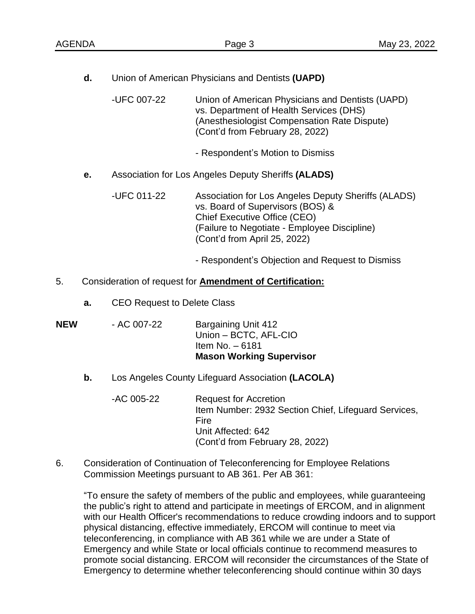**d.** Union of American Physicians and Dentists **(UAPD)**

-UFC 007-22 Union of American Physicians and Dentists (UAPD) vs. Department of Health Services (DHS) (Anesthesiologist Compensation Rate Dispute) (Cont'd from February 28, 2022)

- Respondent's Motion to Dismiss
- **e.** Association for Los Angeles Deputy Sheriffs **(ALADS)**

-UFC 011-22 Association for Los Angeles Deputy Sheriffs (ALADS) vs. Board of Supervisors (BOS) & Chief Executive Office (CEO) (Failure to Negotiate - Employee Discipline) (Cont'd from April 25, 2022)

- Respondent's Objection and Request to Dismiss

## 5. Consideration of request for **Amendment of Certification:**

- **a.** CEO Request to Delete Class
- **NEW** AC 007-22 Bargaining Unit 412 Union – BCTC, AFL-CIO Item No. – 6181 **Mason Working Supervisor**
	- **b.** Los Angeles County Lifeguard Association **(LACOLA)**
		- -AC 005-22 Request for Accretion Item Number: 2932 Section Chief, Lifeguard Services, Fire Unit Affected: 642 (Cont'd from February 28, 2022)
- 6. Consideration of Continuation of Teleconferencing for Employee Relations Commission Meetings pursuant to AB 361. Per AB 361:

"To ensure the safety of members of the public and employees, while guaranteeing the public's right to attend and participate in meetings of ERCOM, and in alignment with our Health Officer's recommendations to reduce crowding indoors and to support physical distancing, effective immediately, ERCOM will continue to meet via teleconferencing, in compliance with AB 361 while we are under a State of Emergency and while State or local officials continue to recommend measures to promote social distancing. ERCOM will reconsider the circumstances of the State of Emergency to determine whether teleconferencing should continue within 30 days